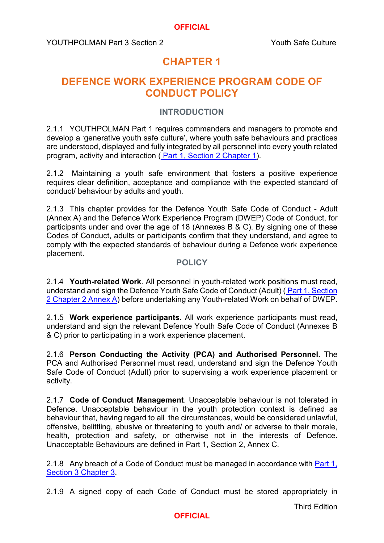# **CHAPTER 1**

# **DEFENCE WORK EXPERIENCE PROGRAM CODE OF CONDUCT POLICY**

## **INTRODUCTION**

2.1.1 YOUTHPOLMAN Part 1 requires commanders and managers to promote and develop a 'generative youth safe culture', where youth safe behaviours and practices are understood, displayed and fully integrated by all personnel into every youth related program, activity and interaction (Part 1, [Section 2 Chapter 1\)](https://www.defenceyouth.gov.au/media/1549/3-sect2ch1-youth-safe-culture-bn16147776.pdf).

2.1.2 Maintaining a youth safe environment that fosters a positive experience requires clear definition, acceptance and compliance with the expected standard of conduct/ behaviour by adults and youth.

2.1.3 This chapter provides for the Defence Youth Safe Code of Conduct - Adult (Annex A) and the Defence Work Experience Program (DWEP) Code of Conduct, for participants under and over the age of 18 (Annexes B & C). By signing one of these Codes of Conduct, adults or participants confirm that they understand, and agree to comply with the expected standards of behaviour during a Defence work experience placement.

#### **POLICY**

2.1.4 **Youth-related Work**. All personnel in youth-related work positions must read, understand and sign the Defence Youth Safe Code of Conduct (Adult) ( [Part 1, Section](https://www.defenceyouth.gov.au/media/1597/section-2-chapter-2-annex-a-youth-safe-code-of-conduct-adult.pdf)  2 [Chapter 2](https://www.defenceyouth.gov.au/media/1597/section-2-chapter-2-annex-a-youth-safe-code-of-conduct-adult.pdf) Annex A) before undertaking any Youth-related Work on behalf of DWEP.

2.1.5 **Work experience participants.** All work experience participants must read, understand and sign the relevant Defence Youth Safe Code of Conduct (Annexes B & C) prior to participating in a work experience placement.

2.1.6 **Person Conducting the Activity (PCA) and Authorised Personnel.** The PCA and Authorised Personnel must read, understand and sign the Defence Youth Safe Code of Conduct (Adult) prior to supervising a work experience placement or activity.

2.1.7 **Code of Conduct Management**. Unacceptable behaviour is not tolerated in Defence. Unacceptable behaviour in the youth protection context is defined as behaviour that, having regard to all the circumstances, would be considered unlawful, offensive, belittling, abusive or threatening to youth and/ or adverse to their morale, health, protection and safety, or otherwise not in the interests of Defence. Unacceptable Behaviours are defined in Part 1, Section 2, Annex C.

2.1.8 Any breach of a Code of Conduct must be managed in accordance with [Part 1,](https://www.defenceyouth.gov.au/media/1621/7-sect3ch3-youth-protection-complaint-and-event-incident-management-bn16161968.pdf) Section 3 [Chapter 3.](https://www.defenceyouth.gov.au/media/1621/7-sect3ch3-youth-protection-complaint-and-event-incident-management-bn16161968.pdf)

2.1.9 A signed copy of each Code of Conduct must be stored appropriately in

### **OFFICIAL**